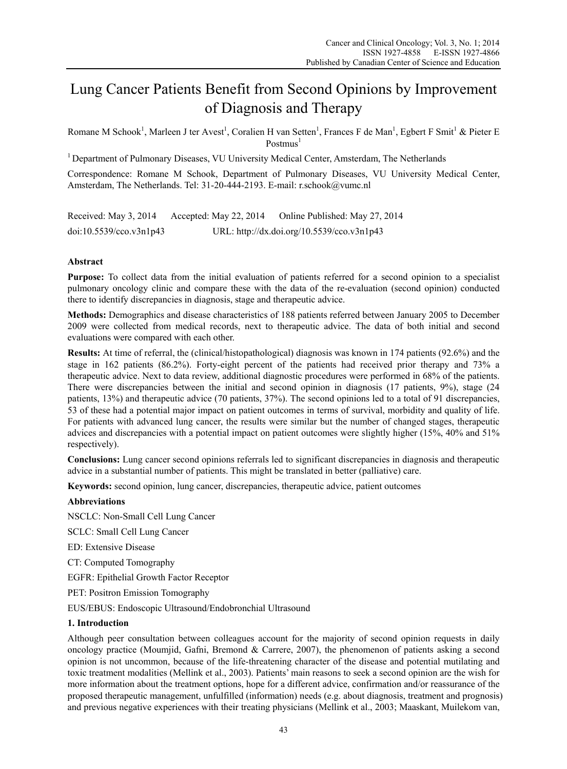# Lung Cancer Patients Benefit from Second Opinions by Improvement of Diagnosis and Therapy

Romane M Schook<sup>1</sup>, Marleen J ter Avest<sup>1</sup>, Coralien H van Setten<sup>1</sup>, Frances F de Man<sup>1</sup>, Egbert F Smit<sup>1</sup> & Pieter E  $Postmus<sup>1</sup>$ 

<sup>1</sup> Department of Pulmonary Diseases, VU University Medical Center, Amsterdam, The Netherlands

Correspondence: Romane M Schook, Department of Pulmonary Diseases, VU University Medical Center, Amsterdam, The Netherlands. Tel: 31-20-444-2193. E-mail: r.schook@vumc.nl

Received: May 3, 2014 Accepted: May 22, 2014 Online Published: May 27, 2014 doi:10.5539/cco.v3n1p43 URL: http://dx.doi.org/10.5539/cco.v3n1p43

# **Abstract**

**Purpose:** To collect data from the initial evaluation of patients referred for a second opinion to a specialist pulmonary oncology clinic and compare these with the data of the re-evaluation (second opinion) conducted there to identify discrepancies in diagnosis, stage and therapeutic advice.

**Methods:** Demographics and disease characteristics of 188 patients referred between January 2005 to December 2009 were collected from medical records, next to therapeutic advice. The data of both initial and second evaluations were compared with each other.

**Results:** At time of referral, the (clinical/histopathological) diagnosis was known in 174 patients (92.6%) and the stage in 162 patients (86.2%). Forty-eight percent of the patients had received prior therapy and 73% a therapeutic advice. Next to data review, additional diagnostic procedures were performed in 68% of the patients. There were discrepancies between the initial and second opinion in diagnosis (17 patients, 9%), stage (24 patients, 13%) and therapeutic advice (70 patients, 37%). The second opinions led to a total of 91 discrepancies, 53 of these had a potential major impact on patient outcomes in terms of survival, morbidity and quality of life. For patients with advanced lung cancer, the results were similar but the number of changed stages, therapeutic advices and discrepancies with a potential impact on patient outcomes were slightly higher (15%, 40% and 51% respectively).

**Conclusions:** Lung cancer second opinions referrals led to significant discrepancies in diagnosis and therapeutic advice in a substantial number of patients. This might be translated in better (palliative) care.

**Keywords:** second opinion, lung cancer, discrepancies, therapeutic advice, patient outcomes

#### **Abbreviations**

NSCLC: Non-Small Cell Lung Cancer

SCLC: Small Cell Lung Cancer

ED: Extensive Disease

CT: Computed Tomography

EGFR: Epithelial Growth Factor Receptor

PET: Positron Emission Tomography

EUS/EBUS: Endoscopic Ultrasound/Endobronchial Ultrasound

#### **1. Introduction**

Although peer consultation between colleagues account for the majority of second opinion requests in daily oncology practice (Moumjid, Gafni, Bremond & Carrere, 2007), the phenomenon of patients asking a second opinion is not uncommon, because of the life-threatening character of the disease and potential mutilating and toxic treatment modalities (Mellink et al., 2003). Patients' main reasons to seek a second opinion are the wish for more information about the treatment options, hope for a different advice, confirmation and/or reassurance of the proposed therapeutic management, unfulfilled (information) needs (e.g. about diagnosis, treatment and prognosis) and previous negative experiences with their treating physicians (Mellink et al., 2003; Maaskant, Muilekom van,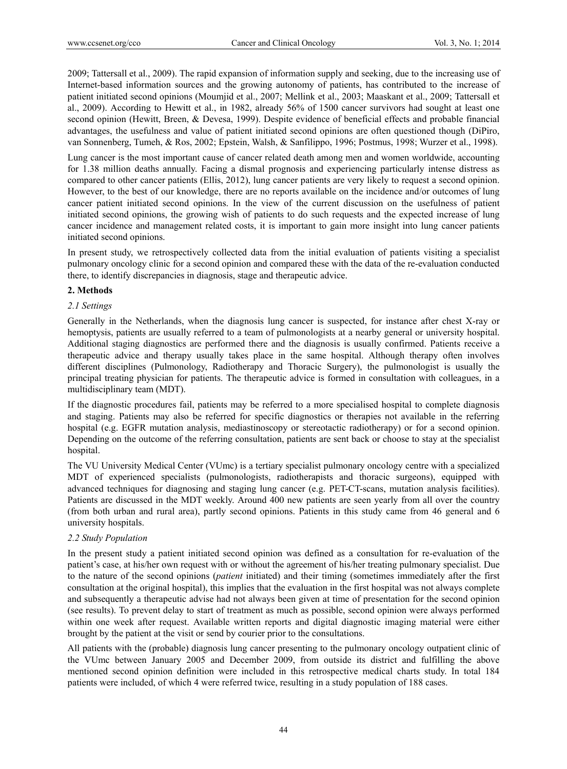2009; Tattersall et al., 2009). The rapid expansion of information supply and seeking, due to the increasing use of Internet-based information sources and the growing autonomy of patients, has contributed to the increase of patient initiated second opinions (Moumjid et al., 2007; Mellink et al., 2003; Maaskant et al., 2009; Tattersall et al., 2009). According to Hewitt et al., in 1982, already 56% of 1500 cancer survivors had sought at least one second opinion (Hewitt, Breen, & Devesa, 1999). Despite evidence of beneficial effects and probable financial advantages, the usefulness and value of patient initiated second opinions are often questioned though (DiPiro, van Sonnenberg, Tumeh, & Ros, 2002; Epstein, Walsh, & Sanfilippo, 1996; Postmus, 1998; Wurzer et al., 1998).

Lung cancer is the most important cause of cancer related death among men and women worldwide, accounting for 1.38 million deaths annually. Facing a dismal prognosis and experiencing particularly intense distress as compared to other cancer patients (Ellis, 2012), lung cancer patients are very likely to request a second opinion. However, to the best of our knowledge, there are no reports available on the incidence and/or outcomes of lung cancer patient initiated second opinions. In the view of the current discussion on the usefulness of patient initiated second opinions, the growing wish of patients to do such requests and the expected increase of lung cancer incidence and management related costs, it is important to gain more insight into lung cancer patients initiated second opinions.

In present study, we retrospectively collected data from the initial evaluation of patients visiting a specialist pulmonary oncology clinic for a second opinion and compared these with the data of the re-evaluation conducted there, to identify discrepancies in diagnosis, stage and therapeutic advice.

# **2. Methods**

# *2.1 Settings*

Generally in the Netherlands, when the diagnosis lung cancer is suspected, for instance after chest X-ray or hemoptysis, patients are usually referred to a team of pulmonologists at a nearby general or university hospital. Additional staging diagnostics are performed there and the diagnosis is usually confirmed. Patients receive a therapeutic advice and therapy usually takes place in the same hospital. Although therapy often involves different disciplines (Pulmonology, Radiotherapy and Thoracic Surgery), the pulmonologist is usually the principal treating physician for patients. The therapeutic advice is formed in consultation with colleagues, in a multidisciplinary team (MDT).

If the diagnostic procedures fail, patients may be referred to a more specialised hospital to complete diagnosis and staging. Patients may also be referred for specific diagnostics or therapies not available in the referring hospital (e.g. EGFR mutation analysis, mediastinoscopy or stereotactic radiotherapy) or for a second opinion. Depending on the outcome of the referring consultation, patients are sent back or choose to stay at the specialist hospital.

The VU University Medical Center (VUmc) is a tertiary specialist pulmonary oncology centre with a specialized MDT of experienced specialists (pulmonologists, radiotherapists and thoracic surgeons), equipped with advanced techniques for diagnosing and staging lung cancer (e.g. PET-CT-scans, mutation analysis facilities). Patients are discussed in the MDT weekly. Around 400 new patients are seen yearly from all over the country (from both urban and rural area), partly second opinions. Patients in this study came from 46 general and 6 university hospitals.

#### *2.2 Study Population*

In the present study a patient initiated second opinion was defined as a consultation for re-evaluation of the patient's case, at his/her own request with or without the agreement of his/her treating pulmonary specialist. Due to the nature of the second opinions (*patient* initiated) and their timing (sometimes immediately after the first consultation at the original hospital), this implies that the evaluation in the first hospital was not always complete and subsequently a therapeutic advise had not always been given at time of presentation for the second opinion (see results). To prevent delay to start of treatment as much as possible, second opinion were always performed within one week after request. Available written reports and digital diagnostic imaging material were either brought by the patient at the visit or send by courier prior to the consultations.

All patients with the (probable) diagnosis lung cancer presenting to the pulmonary oncology outpatient clinic of the VUmc between January 2005 and December 2009, from outside its district and fulfilling the above mentioned second opinion definition were included in this retrospective medical charts study. In total 184 patients were included, of which 4 were referred twice, resulting in a study population of 188 cases.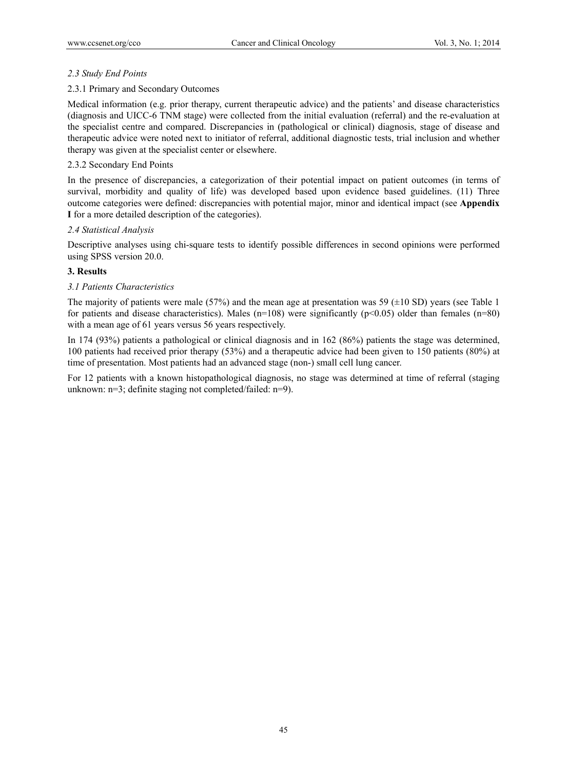#### *2.3 Study End Points*

#### 2.3.1 Primary and Secondary Outcomes

Medical information (e.g. prior therapy, current therapeutic advice) and the patients' and disease characteristics (diagnosis and UICC-6 TNM stage) were collected from the initial evaluation (referral) and the re-evaluation at the specialist centre and compared. Discrepancies in (pathological or clinical) diagnosis, stage of disease and therapeutic advice were noted next to initiator of referral, additional diagnostic tests, trial inclusion and whether therapy was given at the specialist center or elsewhere.

# 2.3.2 Secondary End Points

In the presence of discrepancies, a categorization of their potential impact on patient outcomes (in terms of survival, morbidity and quality of life) was developed based upon evidence based guidelines. (11) Three outcome categories were defined: discrepancies with potential major, minor and identical impact (see **Appendix I** for a more detailed description of the categories).

#### *2.4 Statistical Analysis*

Descriptive analyses using chi-square tests to identify possible differences in second opinions were performed using SPSS version 20.0.

# **3. Results**

#### *3.1 Patients Characteristics*

The majority of patients were male (57%) and the mean age at presentation was 59 ( $\pm$ 10 SD) years (see Table 1 for patients and disease characteristics). Males (n=108) were significantly (p<0.05) older than females (n=80) with a mean age of 61 years versus 56 years respectively.

In 174 (93%) patients a pathological or clinical diagnosis and in 162 (86%) patients the stage was determined, 100 patients had received prior therapy (53%) and a therapeutic advice had been given to 150 patients (80%) at time of presentation. Most patients had an advanced stage (non-) small cell lung cancer.

For 12 patients with a known histopathological diagnosis, no stage was determined at time of referral (staging unknown: n=3; definite staging not completed/failed: n=9).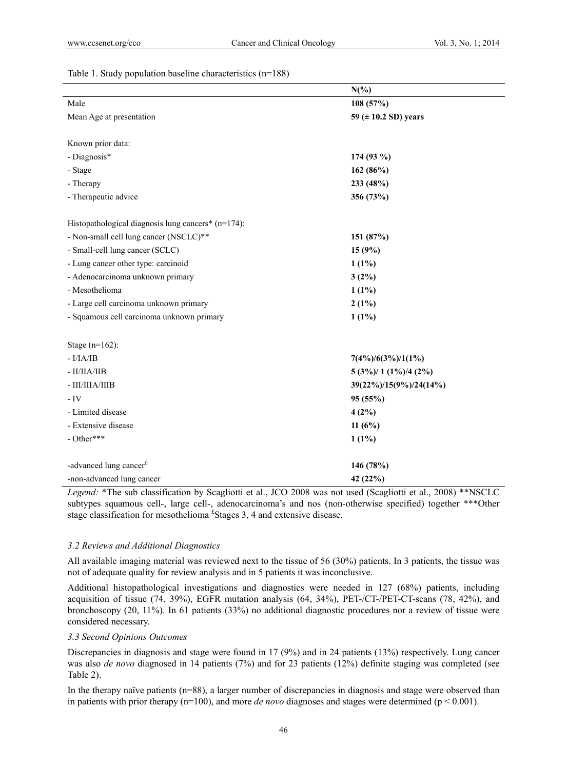Table 1. Study population baseline characteristics (n=188)

|                                                    | $N(\%)$                   |  |  |
|----------------------------------------------------|---------------------------|--|--|
| Male                                               | 108 (57%)                 |  |  |
| Mean Age at presentation                           | 59 ( $\pm$ 10.2 SD) years |  |  |
|                                                    |                           |  |  |
| Known prior data:                                  |                           |  |  |
| - Diagnosis*                                       | 174 (93 %)                |  |  |
| - Stage                                            | 162 (86%)                 |  |  |
| - Therapy                                          | 233 (48%)                 |  |  |
| - Therapeutic advice                               | 356 (73%)                 |  |  |
|                                                    |                           |  |  |
| Histopathological diagnosis lung cancers* (n=174): |                           |  |  |
| - Non-small cell lung cancer (NSCLC)**             | 151 (87%)                 |  |  |
| - Small-cell lung cancer (SCLC)                    | 15(9%)                    |  |  |
| - Lung cancer other type: carcinoid                | $1(1\%)$                  |  |  |
| - Adenocarcinoma unknown primary                   | 3(2%)                     |  |  |
| - Mesothelioma                                     | $1(1\%)$                  |  |  |
| - Large cell carcinoma unknown primary             | $2(1\%)$                  |  |  |
| - Squamous cell carcinoma unknown primary          | $1(1\%)$                  |  |  |
| Stage $(n=162)$ :                                  |                           |  |  |
| $-I/IA/IB$                                         | $7(4\%)/6(3\%)/1(1\%)$    |  |  |
| - II/IIA/IIB                                       | $5(3\%)/1(1\%)/4(2\%)$    |  |  |
| - III/IIIA/IIIB                                    | 39(22%)/15(9%)/24(14%)    |  |  |
| $-IV$                                              | 95(55%)                   |  |  |
| - Limited disease                                  | 4(2%)                     |  |  |
| - Extensive disease                                | 11 $(6%)$                 |  |  |
| - Other***                                         | $1(1\%)$                  |  |  |
| -advanced lung cancer <sup>£</sup>                 | 146 (78%)                 |  |  |
| -non-advanced lung cancer                          | 42 (22%)                  |  |  |
|                                                    |                           |  |  |

*Legend:* \*The sub classification by Scagliotti et al., JCO 2008 was not used (Scagliotti et al., 2008) \*\*NSCLC subtypes squamous cell-, large cell-, adenocarcinoma's and nos (non-otherwise specified) together \*\*\*Other stage classification for mesothelioma<sup>f</sup> Stages 3, 4 and extensive disease.

#### *3.2 Reviews and Additional Diagnostics*

All available imaging material was reviewed next to the tissue of 56 (30%) patients. In 3 patients, the tissue was not of adequate quality for review analysis and in 5 patients it was inconclusive.

Additional histopathological investigations and diagnostics were needed in 127 (68%) patients, including acquisition of tissue (74, 39%), EGFR mutation analysis (64, 34%), PET-/CT-/PET-CT-scans (78, 42%), and bronchoscopy (20, 11%). In 61 patients (33%) no additional diagnostic procedures nor a review of tissue were considered necessary.

#### *3.3 Second Opinions Outcomes*

Discrepancies in diagnosis and stage were found in 17 (9%) and in 24 patients (13%) respectively. Lung cancer was also *de novo* diagnosed in 14 patients (7%) and for 23 patients (12%) definite staging was completed (see Table 2).

In the therapy naïve patients (n=88), a larger number of discrepancies in diagnosis and stage were observed than in patients with prior therapy  $(n=100)$ , and more *de novo* diagnoses and stages were determined ( $p < 0.001$ ).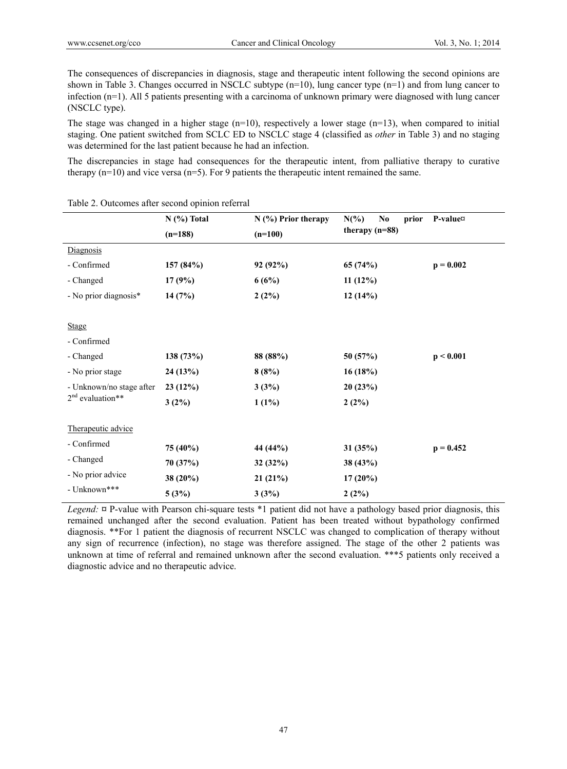The consequences of discrepancies in diagnosis, stage and therapeutic intent following the second opinions are shown in Table 3. Changes occurred in NSCLC subtype (n=10), lung cancer type (n=1) and from lung cancer to infection (n=1). All 5 patients presenting with a carcinoma of unknown primary were diagnosed with lung cancer (NSCLC type).

The stage was changed in a higher stage  $(n=10)$ , respectively a lower stage  $(n=13)$ , when compared to initial staging. One patient switched from SCLC ED to NSCLC stage 4 (classified as *other* in Table 3) and no staging was determined for the last patient because he had an infection.

The discrepancies in stage had consequences for the therapeutic intent, from palliative therapy to curative therapy  $(n=10)$  and vice versa  $(n=5)$ . For 9 patients the therapeutic intent remained the same.

|                          | $N$ (%) Total | $N$ (%) Prior therapy | $N(\%)$<br>N <sub>0</sub><br>prior | P-value¤    |  |
|--------------------------|---------------|-----------------------|------------------------------------|-------------|--|
|                          | $(n=188)$     | $(n=100)$             | therapy $(n=88)$                   |             |  |
| Diagnosis                |               |                       |                                    |             |  |
| - Confirmed              | 157 (84%)     | 92 (92%)              | 65 (74%)                           | $p = 0.002$ |  |
| - Changed                | 17(9%)        | 6(6%)                 | 11(12%)                            |             |  |
| - No prior diagnosis*    | 14(7%)        | 2(2%)                 | 12(14%)                            |             |  |
|                          |               |                       |                                    |             |  |
| <b>Stage</b>             |               |                       |                                    |             |  |
| - Confirmed              |               |                       |                                    |             |  |
| - Changed                | 138 (73%)     | 88 (88%)              | 50 (57%)                           | p < 0.001   |  |
| - No prior stage         | 24(13%)       | 8(8%)                 | 16 (18%)                           |             |  |
| - Unknown/no stage after | 23(12%)       | 3(3%)                 | 20(23%)                            |             |  |
| $2nd$ evaluation**       | 3(2%)         | $1(1\%)$              | 2(2%)                              |             |  |
|                          |               |                       |                                    |             |  |
| Therapeutic advice       |               |                       |                                    |             |  |
| - Confirmed              | 75 (40%)      | 44 (44%)              | 31(35%)                            | $p = 0.452$ |  |
| - Changed                | 70 (37%)      | 32(32%)               | 38 (43%)                           |             |  |
| - No prior advice        | $38(20\%)$    | 21(21%)               | $17(20\%)$                         |             |  |
| - Unknown***             | 5(3%)         | 3(3%)                 | 2(2%)                              |             |  |

Table 2. Outcomes after second opinion referral

*Legend:* **¤** P-value with Pearson chi-square tests \*1 patient did not have a pathology based prior diagnosis, this remained unchanged after the second evaluation. Patient has been treated without bypathology confirmed diagnosis. \*\*For 1 patient the diagnosis of recurrent NSCLC was changed to complication of therapy without any sign of recurrence (infection), no stage was therefore assigned. The stage of the other 2 patients was unknown at time of referral and remained unknown after the second evaluation. \*\*\*5 patients only received a diagnostic advice and no therapeutic advice.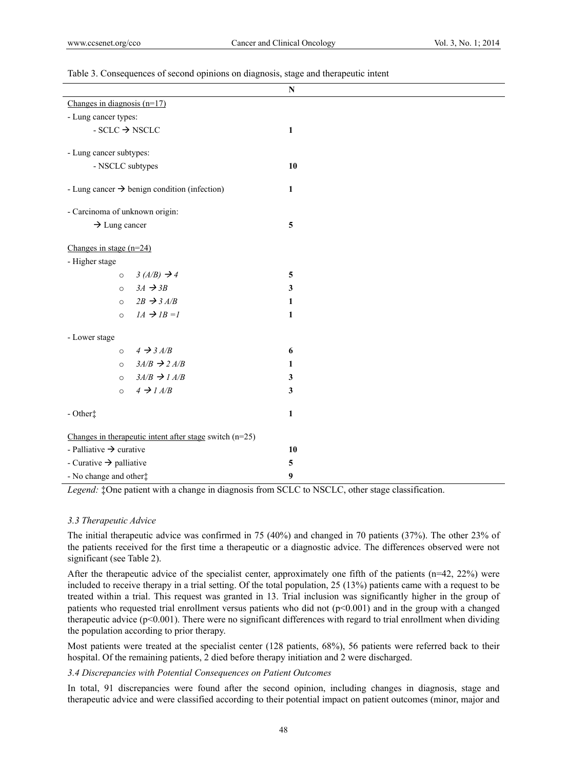|                                                                                                  |         |                                                            | ${\bf N}$               |  |
|--------------------------------------------------------------------------------------------------|---------|------------------------------------------------------------|-------------------------|--|
| Changes in diagnosis $(n=17)$                                                                    |         |                                                            |                         |  |
| - Lung cancer types:                                                                             |         |                                                            |                         |  |
| $\textnormal{\texttt{-SCLC}} \ensuremath{\rightarrow}\xspace \textnormal{\texttt{NSCLC}}$        |         |                                                            | 1                       |  |
|                                                                                                  |         |                                                            |                         |  |
| - Lung cancer subtypes:                                                                          |         |                                                            |                         |  |
| - NSCLC subtypes                                                                                 |         |                                                            | 10                      |  |
| - Lung cancer $\rightarrow$ benign condition (infection)                                         |         |                                                            | 1                       |  |
| - Carcinoma of unknown origin:                                                                   |         |                                                            |                         |  |
| $\rightarrow$ Lung cancer                                                                        |         |                                                            | 5                       |  |
| Changes in stage $(n=24)$                                                                        |         |                                                            |                         |  |
| - Higher stage                                                                                   |         |                                                            |                         |  |
|                                                                                                  | $\circ$ | $3(A/B) \rightarrow 4$                                     | $\overline{\mathbf{5}}$ |  |
|                                                                                                  | $\circ$ | $3A \rightarrow 3B$                                        | 3                       |  |
|                                                                                                  | $\circ$ | $2B \rightarrow 3A/B$                                      | 1                       |  |
|                                                                                                  | $\circ$ | $IA \rightarrow IB = I$                                    | 1                       |  |
| - Lower stage                                                                                    |         |                                                            |                         |  |
|                                                                                                  | $\circ$ | $4 \rightarrow 3 A/B$                                      | 6                       |  |
|                                                                                                  | $\circ$ | $3A/B \rightarrow 2A/B$                                    | 1                       |  |
|                                                                                                  | $\circ$ | $3A/B \rightarrow 1A/B$                                    | 3                       |  |
|                                                                                                  | $\circ$ | $4 \rightarrow 1 A/B$                                      | 3                       |  |
| - Other‡                                                                                         |         |                                                            | 1                       |  |
|                                                                                                  |         | Changes in the rapeutic intent after stage switch $(n=25)$ |                         |  |
| - Palliative $\rightarrow$ curative                                                              |         |                                                            | 10                      |  |
| - Curative $\rightarrow$ palliative                                                              |         |                                                            | 5                       |  |
| - No change and other#                                                                           |         |                                                            | 9                       |  |
| Legend: : One patient with a change in diagnosis from SCLC to NSCLC, other stage classification. |         |                                                            |                         |  |

#### Table 3. Consequences of second opinions on diagnosis, stage and therapeutic intent

*3.3 Therapeutic Advice* 

The initial therapeutic advice was confirmed in 75 (40%) and changed in 70 patients (37%). The other 23% of the patients received for the first time a therapeutic or a diagnostic advice. The differences observed were not significant (see Table 2).

After the therapeutic advice of the specialist center, approximately one fifth of the patients (n=42, 22%) were included to receive therapy in a trial setting. Of the total population, 25 (13%) patients came with a request to be treated within a trial. This request was granted in 13. Trial inclusion was significantly higher in the group of patients who requested trial enrollment versus patients who did not  $(p<0.001)$  and in the group with a changed therapeutic advice ( $p<0.001$ ). There were no significant differences with regard to trial enrollment when dividing the population according to prior therapy.

Most patients were treated at the specialist center (128 patients, 68%), 56 patients were referred back to their hospital. Of the remaining patients, 2 died before therapy initiation and 2 were discharged.

# *3.4 Discrepancies with Potential Consequences on Patient Outcomes*

In total, 91 discrepancies were found after the second opinion, including changes in diagnosis, stage and therapeutic advice and were classified according to their potential impact on patient outcomes (minor, major and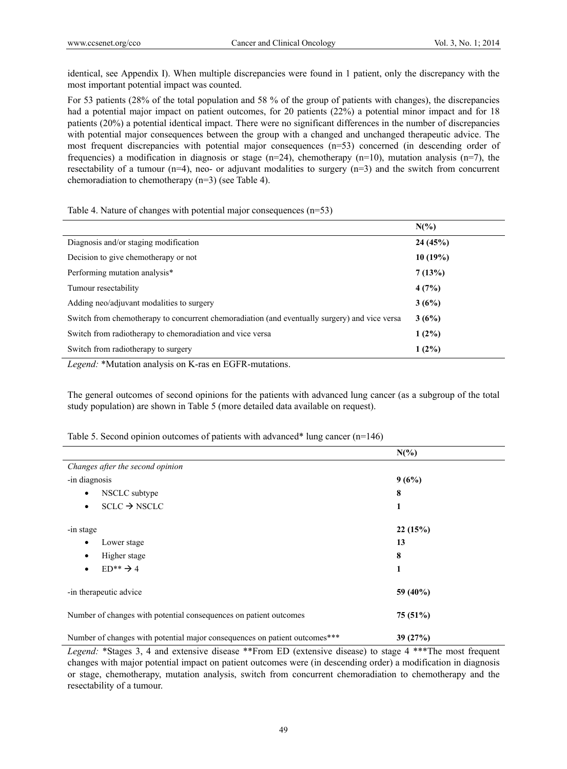identical, see Appendix I). When multiple discrepancies were found in 1 patient, only the discrepancy with the most important potential impact was counted.

For 53 patients (28% of the total population and 58 % of the group of patients with changes), the discrepancies had a potential major impact on patient outcomes, for 20 patients (22%) a potential minor impact and for 18 patients (20%) a potential identical impact. There were no significant differences in the number of discrepancies with potential major consequences between the group with a changed and unchanged therapeutic advice. The most frequent discrepancies with potential major consequences (n=53) concerned (in descending order of frequencies) a modification in diagnosis or stage (n=24), chemotherapy (n=10), mutation analysis (n=7), the resectability of a tumour (n=4), neo- or adjuvant modalities to surgery  $(n=3)$  and the switch from concurrent chemoradiation to chemotherapy (n=3) (see Table 4).

Table 4. Nature of changes with potential major consequences (n=53)

|                                                                                               | $N(\%)$  |
|-----------------------------------------------------------------------------------------------|----------|
| Diagnosis and/or staging modification                                                         | 24(45%)  |
| Decision to give chemotherapy or not                                                          | 10(19%)  |
| Performing mutation analysis*                                                                 | 7(13%)   |
| Tumour resectability                                                                          | 4(7%)    |
| Adding neo/adjuvant modalities to surgery                                                     | 3(6%)    |
| Switch from chemotherapy to concurrent chemoradiation (and eventually surgery) and vice versa | 3(6%)    |
| Switch from radiotherapy to chemoradiation and vice versa                                     | $1(2\%)$ |
| Switch from radiotherapy to surgery                                                           | $1(2\%)$ |

*Legend:* \*Mutation analysis on K-ras en EGFR-mutations.

The general outcomes of second opinions for the patients with advanced lung cancer (as a subgroup of the total study population) are shown in Table 5 (more detailed data available on request).

|                                                                            | $N(\%)$  |  |  |
|----------------------------------------------------------------------------|----------|--|--|
| Changes after the second opinion                                           |          |  |  |
| -in diagnosis                                                              | 9(6%)    |  |  |
| NSCLC subtype<br>$\bullet$                                                 | 8        |  |  |
| $SCLC \rightarrow NSCLC$<br>٠                                              | 1        |  |  |
| -in stage                                                                  | 22(15%)  |  |  |
| Lower stage<br>$\bullet$                                                   | 13       |  |  |
| Higher stage                                                               | 8        |  |  |
| $ED**$ $\rightarrow$ 4                                                     | 1        |  |  |
| -in therapeutic advice                                                     | 59 (40%) |  |  |
| Number of changes with potential consequences on patient outcomes          | 75(51%)  |  |  |
| Number of changes with potential major consequences on patient outcomes*** | 39(27%)  |  |  |

Table 5. Second opinion outcomes of patients with advanced\* lung cancer (n=146)

*Legend:* \*Stages 3, 4 and extensive disease \*\*From ED (extensive disease) to stage 4 \*\*\*The most frequent changes with major potential impact on patient outcomes were (in descending order) a modification in diagnosis or stage, chemotherapy, mutation analysis, switch from concurrent chemoradiation to chemotherapy and the resectability of a tumour.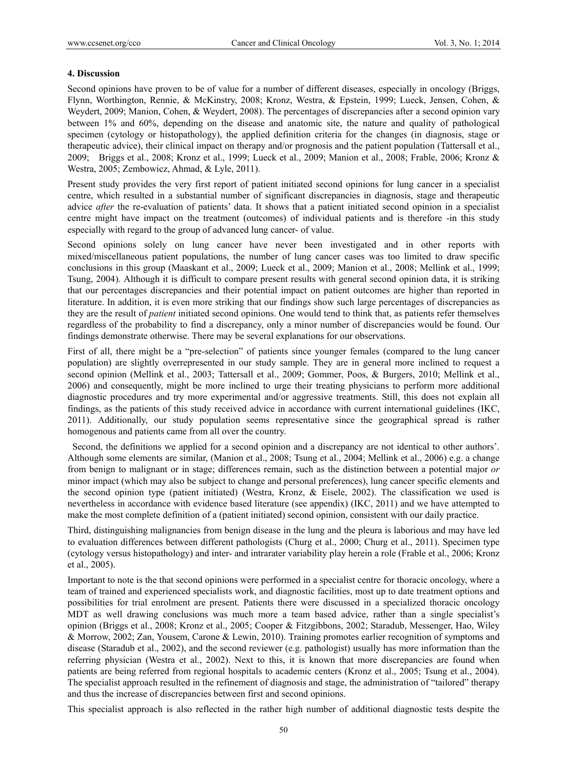#### **4. Discussion**

Second opinions have proven to be of value for a number of different diseases, especially in oncology (Briggs, Flynn, Worthington, Rennie, & McKinstry, 2008; Kronz, Westra, & Epstein, 1999; Lueck, Jensen, Cohen, & Weydert, 2009; Manion, Cohen, & Weydert, 2008). The percentages of discrepancies after a second opinion vary between 1% and 60%, depending on the disease and anatomic site, the nature and quality of pathological specimen (cytology or histopathology), the applied definition criteria for the changes (in diagnosis, stage or therapeutic advice), their clinical impact on therapy and/or prognosis and the patient population (Tattersall et al., 2009; Briggs et al., 2008; Kronz et al., 1999; Lueck et al., 2009; Manion et al., 2008; Frable, 2006; Kronz & Westra, 2005; Zembowicz, Ahmad, & Lyle, 2011).

Present study provides the very first report of patient initiated second opinions for lung cancer in a specialist centre, which resulted in a substantial number of significant discrepancies in diagnosis, stage and therapeutic advice *after* the re-evaluation of patients' data. It shows that a patient initiated second opinion in a specialist centre might have impact on the treatment (outcomes) of individual patients and is therefore -in this study especially with regard to the group of advanced lung cancer- of value.

Second opinions solely on lung cancer have never been investigated and in other reports with mixed/miscellaneous patient populations, the number of lung cancer cases was too limited to draw specific conclusions in this group (Maaskant et al., 2009; Lueck et al., 2009; Manion et al., 2008; Mellink et al., 1999; Tsung, 2004). Although it is difficult to compare present results with general second opinion data, it is striking that our percentages discrepancies and their potential impact on patient outcomes are higher than reported in literature. In addition, it is even more striking that our findings show such large percentages of discrepancies as they are the result of *patient* initiated second opinions. One would tend to think that, as patients refer themselves regardless of the probability to find a discrepancy, only a minor number of discrepancies would be found. Our findings demonstrate otherwise. There may be several explanations for our observations.

First of all, there might be a "pre-selection" of patients since younger females (compared to the lung cancer population) are slightly overrepresented in our study sample. They are in general more inclined to request a second opinion (Mellink et al., 2003; Tattersall et al., 2009; Gommer, Poos, & Burgers, 2010; Mellink et al., 2006) and consequently, might be more inclined to urge their treating physicians to perform more additional diagnostic procedures and try more experimental and/or aggressive treatments. Still, this does not explain all findings, as the patients of this study received advice in accordance with current international guidelines (IKC, 2011). Additionally, our study population seems representative since the geographical spread is rather homogenous and patients came from all over the country.

 Second, the definitions we applied for a second opinion and a discrepancy are not identical to other authors'. Although some elements are similar, (Manion et al., 2008; Tsung et al., 2004; Mellink et al., 2006) e.g. a change from benign to malignant or in stage; differences remain, such as the distinction between a potential major *or* minor impact (which may also be subject to change and personal preferences), lung cancer specific elements and the second opinion type (patient initiated) (Westra, Kronz, & Eisele, 2002). The classification we used is nevertheless in accordance with evidence based literature (see appendix) (IKC, 2011) and we have attempted to make the most complete definition of a (patient initiated) second opinion, consistent with our daily practice.

Third, distinguishing malignancies from benign disease in the lung and the pleura is laborious and may have led to evaluation differences between different pathologists (Churg et al., 2000; Churg et al., 2011). Specimen type (cytology versus histopathology) and inter- and intrarater variability play herein a role (Frable et al., 2006; Kronz et al., 2005).

Important to note is the that second opinions were performed in a specialist centre for thoracic oncology, where a team of trained and experienced specialists work, and diagnostic facilities, most up to date treatment options and possibilities for trial enrolment are present. Patients there were discussed in a specialized thoracic oncology MDT as well drawing conclusions was much more a team based advice, rather than a single specialist's opinion (Briggs et al., 2008; Kronz et al., 2005; Cooper & Fitzgibbons, 2002; Staradub, Messenger, Hao, Wiley & Morrow, 2002; Zan, Yousem, Carone & Lewin, 2010). Training promotes earlier recognition of symptoms and disease (Staradub et al., 2002), and the second reviewer (e.g. pathologist) usually has more information than the referring physician (Westra et al., 2002). Next to this, it is known that more discrepancies are found when patients are being referred from regional hospitals to academic centers (Kronz et al., 2005; Tsung et al., 2004). The specialist approach resulted in the refinement of diagnosis and stage, the administration of "tailored" therapy and thus the increase of discrepancies between first and second opinions.

This specialist approach is also reflected in the rather high number of additional diagnostic tests despite the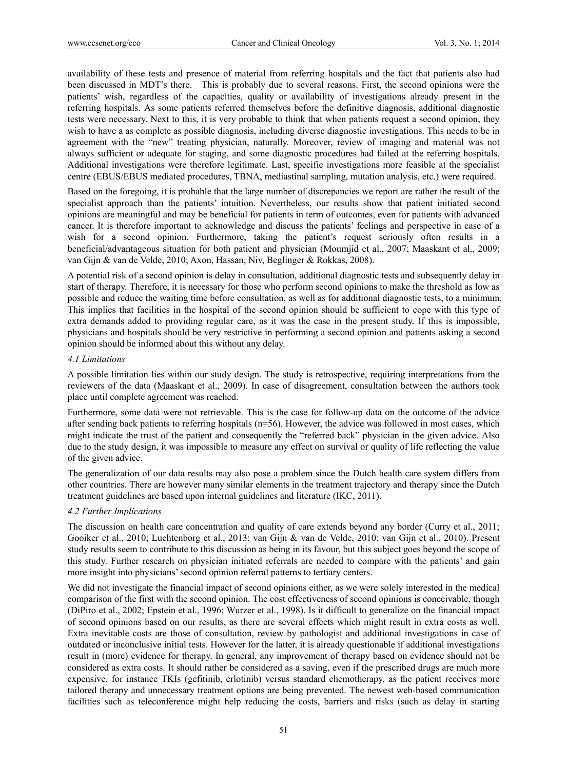availability of these tests and presence of material from referring hospitals and the fact that patients also had been discussed in MDT's there. This is probably due to several reasons. First, the second opinions were the patients' wish, regardless of the capacities, quality or availability of investigations already present in the referring hospitals. As some patients referred themselves before the definitive diagnosis, additional diagnostic tests were necessary. Next to this, it is very probable to think that when patients request a second opinion, they wish to have a as complete as possible diagnosis, including diverse diagnostic investigations. This needs to be in agreement with the "new" treating physician, naturally. Moreover, review of imaging and material was not always sufficient or adequate for staging, and some diagnostic procedures had failed at the referring hospitals. Additional investigations were therefore legitimate. Last, specific investigations more feasible at the specialist centre (EBUS/EBUS mediated procedures, TBNA, mediastinal sampling, mutation analysis, etc.) were required.

Based on the foregoing, it is probable that the large number of discrepancies we report are rather the result of the specialist approach than the patients' intuition. Nevertheless, our results show that patient initiated second opinions are meaningful and may be beneficial for patients in term of outcomes, even for patients with advanced cancer. It is therefore important to acknowledge and discuss the patients' feelings and perspective in case of a wish for a second opinion. Furthermore, taking the patient's request seriously often results in a beneficial/advantageous situation for both patient and physician (Moumjid et al., 2007; Maaskant et al., 2009; van Gijn & van de Velde, 2010; Axon, Hassan, Niv, Beglinger & Rokkas, 2008).

A potential risk of a second opinion is delay in consultation, additional diagnostic tests and subsequently delay in start of therapy. Therefore, it is necessary for those who perform second opinions to make the threshold as low as possible and reduce the waiting time before consultation, as well as for additional diagnostic tests, to a minimum. This implies that facilities in the hospital of the second opinion should be sufficient to cope with this type of extra demands added to providing regular care, as it was the case in the present study. If this is impossible, physicians and hospitals should be very restrictive in performing a second opinion and patients asking a second opinion should be informed about this without any delay.

#### *4.1 Limitations*

A possible limitation lies within our study design. The study is retrospective, requiring interpretations from the reviewers of the data (Maaskant et al., 2009). In case of disagreement, consultation between the authors took place until complete agreement was reached.

Furthermore, some data were not retrievable. This is the case for follow-up data on the outcome of the advice after sending back patients to referring hospitals (n=56). However, the advice was followed in most cases, which might indicate the trust of the patient and consequently the "referred back" physician in the given advice. Also due to the study design, it was impossible to measure any effect on survival or quality of life reflecting the value of the given advice.

The generalization of our data results may also pose a problem since the Dutch health care system differs from other countries. There are however many similar elements in the treatment trajectory and therapy since the Dutch treatment guidelines are based upon internal guidelines and literature (IKC, 2011).

#### *4.2 Further Implications*

The discussion on health care concentration and quality of care extends beyond any border (Curry et al., 2011; Gooiker et al., 2010; Luchtenborg et al., 2013; van Gijn & van de Velde, 2010; van Gijn et al., 2010). Present study results seem to contribute to this discussion as being in its favour, but this subject goes beyond the scope of this study. Further research on physician initiated referrals are needed to compare with the patients' and gain more insight into physicians' second opinion referral patterns to tertiary centers.

We did not investigate the financial impact of second opinions either, as we were solely interested in the medical comparison of the first with the second opinion. The cost effectiveness of second opinions is conceivable, though (DiPiro et al., 2002; Epstein et al., 1996; Wurzer et al., 1998). Is it difficult to generalize on the financial impact of second opinions based on our results, as there are several effects which might result in extra costs as well. Extra inevitable costs are those of consultation, review by pathologist and additional investigations in case of outdated or inconclusive initial tests. However for the latter, it is already questionable if additional investigations result in (more) evidence for therapy. In general, any improvement of therapy based on evidence should not be considered as extra costs. It should rather be considered as a saving, even if the prescribed drugs are much more expensive, for instance TKIs (gefitinib, erlotinib) versus standard chemotherapy, as the patient receives more tailored therapy and unnecessary treatment options are being prevented. The newest web-based communication facilities such as teleconference might help reducing the costs, barriers and risks (such as delay in starting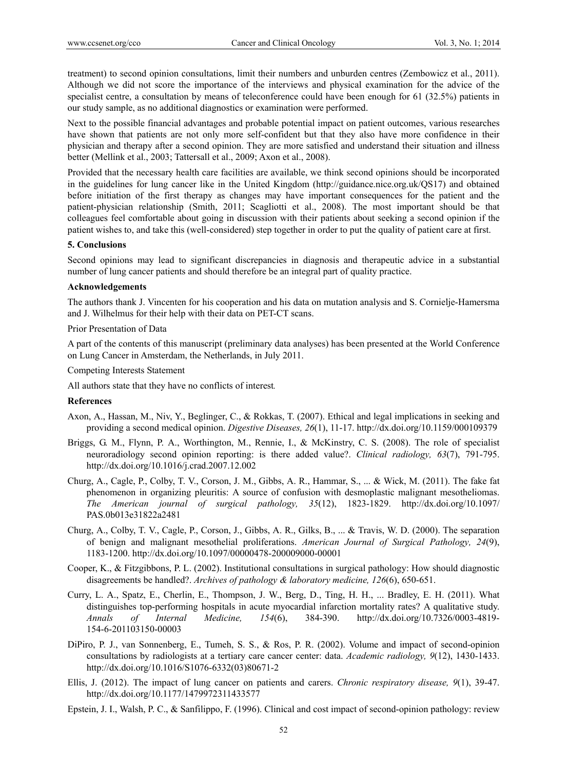treatment) to second opinion consultations, limit their numbers and unburden centres (Zembowicz et al., 2011). Although we did not score the importance of the interviews and physical examination for the advice of the specialist centre, a consultation by means of teleconference could have been enough for 61 (32.5%) patients in our study sample, as no additional diagnostics or examination were performed.

Next to the possible financial advantages and probable potential impact on patient outcomes, various researches have shown that patients are not only more self-confident but that they also have more confidence in their physician and therapy after a second opinion. They are more satisfied and understand their situation and illness better (Mellink et al., 2003; Tattersall et al., 2009; Axon et al., 2008).

Provided that the necessary health care facilities are available, we think second opinions should be incorporated in the guidelines for lung cancer like in the United Kingdom (http://guidance.nice.org.uk/QS17) and obtained before initiation of the first therapy as changes may have important consequences for the patient and the patient-physician relationship (Smith, 2011; Scagliotti et al., 2008). The most important should be that colleagues feel comfortable about going in discussion with their patients about seeking a second opinion if the patient wishes to, and take this (well-considered) step together in order to put the quality of patient care at first.

#### **5. Conclusions**

Second opinions may lead to significant discrepancies in diagnosis and therapeutic advice in a substantial number of lung cancer patients and should therefore be an integral part of quality practice.

#### **Acknowledgements**

The authors thank J. Vincenten for his cooperation and his data on mutation analysis and S. Cornielje-Hamersma and J. Wilhelmus for their help with their data on PET-CT scans.

Prior Presentation of Data

A part of the contents of this manuscript (preliminary data analyses) has been presented at the World Conference on Lung Cancer in Amsterdam, the Netherlands, in July 2011.

Competing Interests Statement

All authors state that they have no conflicts of interest*.* 

#### **References**

- Axon, A., Hassan, M., Niv, Y., Beglinger, C., & Rokkas, T. (2007). Ethical and legal implications in seeking and providing a second medical opinion. *Digestive Diseases, 26*(1), 11-17. http://dx.doi.org/10.1159/000109379
- Briggs, G. M., Flynn, P. A., Worthington, M., Rennie, I., & McKinstry, C. S. (2008). The role of specialist neuroradiology second opinion reporting: is there added value?. *Clinical radiology, 63*(7), 791-795. http://dx.doi.org/10.1016/j.crad.2007.12.002
- Churg, A., Cagle, P., Colby, T. V., Corson, J. M., Gibbs, A. R., Hammar, S., ... & Wick, M. (2011). The fake fat phenomenon in organizing pleuritis: A source of confusion with desmoplastic malignant mesotheliomas. *The American journal of surgical pathology, 35*(12), 1823-1829. http://dx.doi.org/10.1097/ PAS.0b013e31822a2481
- Churg, A., Colby, T. V., Cagle, P., Corson, J., Gibbs, A. R., Gilks, B., ... & Travis, W. D. (2000). The separation of benign and malignant mesothelial proliferations. *American Journal of Surgical Pathology, 24*(9), 1183-1200. http://dx.doi.org/10.1097/00000478-200009000-00001
- Cooper, K., & Fitzgibbons, P. L. (2002). Institutional consultations in surgical pathology: How should diagnostic disagreements be handled?. *Archives of pathology & laboratory medicine, 126*(6), 650-651.
- Curry, L. A., Spatz, E., Cherlin, E., Thompson, J. W., Berg, D., Ting, H. H., ... Bradley, E. H. (2011). What distinguishes top-performing hospitals in acute myocardial infarction mortality rates? A qualitative study. *Annals of Internal Medicine, 154*(6), 384-390. http://dx.doi.org/10.7326/0003-4819- 154-6-201103150-00003
- DiPiro, P. J., van Sonnenberg, E., Tumeh, S. S., & Ros, P. R. (2002). Volume and impact of second-opinion consultations by radiologists at a tertiary care cancer center: data. *Academic radiology, 9*(12), 1430-1433. http://dx.doi.org/10.1016/S1076-6332(03)80671-2
- Ellis, J. (2012). The impact of lung cancer on patients and carers. *Chronic respiratory disease, 9*(1), 39-47. http://dx.doi.org/10.1177/1479972311433577
- Epstein, J. I., Walsh, P. C., & Sanfilippo, F. (1996). Clinical and cost impact of second-opinion pathology: review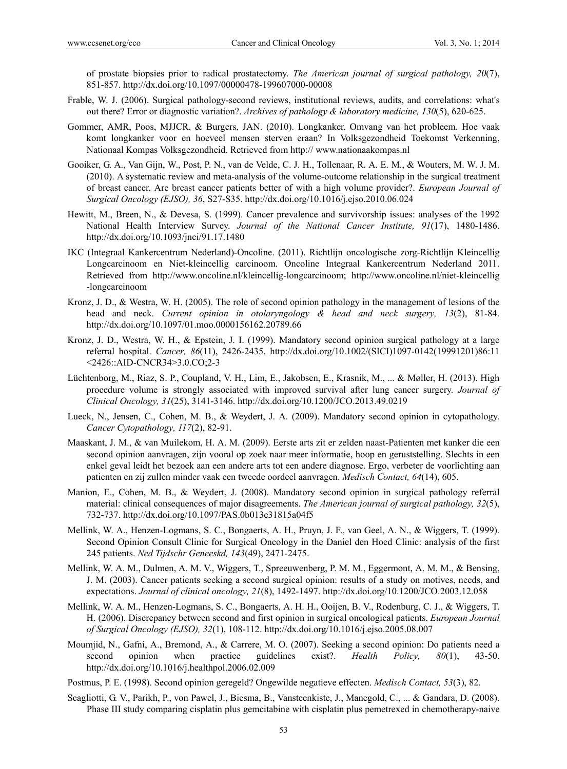of prostate biopsies prior to radical prostatectomy. *The American journal of surgical pathology, 20*(7), 851-857. http://dx.doi.org/10.1097/00000478-199607000-00008

- Frable, W. J. (2006). Surgical pathology-second reviews, institutional reviews, audits, and correlations: what's out there? Error or diagnostic variation?. *Archives of pathology & laboratory medicine, 130*(5), 620-625.
- Gommer, AMR, Poos, MJJCR, & Burgers, JAN. (2010). Longkanker. Omvang van het probleem. Hoe vaak komt longkanker voor en hoeveel mensen sterven eraan? In Volksgezondheid Toekomst Verkenning, Nationaal Kompas Volksgezondheid. Retrieved from http:// www.nationaakompas.nl
- Gooiker, G. A., Van Gijn, W., Post, P. N., van de Velde, C. J. H., Tollenaar, R. A. E. M., & Wouters, M. W. J. M. (2010). A systematic review and meta-analysis of the volume-outcome relationship in the surgical treatment of breast cancer. Are breast cancer patients better of with a high volume provider?. *European Journal of Surgical Oncology (EJSO), 36*, S27-S35. http://dx.doi.org/10.1016/j.ejso.2010.06.024
- Hewitt, M., Breen, N., & Devesa, S. (1999). Cancer prevalence and survivorship issues: analyses of the 1992 National Health Interview Survey. *Journal of the National Cancer Institute, 91*(17), 1480-1486. http://dx.doi.org/10.1093/jnci/91.17.1480
- IKC (Integraal Kankercentrum Nederland)-Oncoline. (2011). Richtlijn oncologische zorg-Richtlijn Kleincellig Longcarcinoom en Niet-kleincellig carcinoom. Oncoline Integraal Kankercentrum Nederland 2011. Retrieved from http://www.oncoline.nl/kleincellig-longcarcinoom; http://www.oncoline.nl/niet-kleincellig -longcarcinoom
- Kronz, J. D., & Westra, W. H. (2005). The role of second opinion pathology in the management of lesions of the head and neck. *Current opinion in otolaryngology & head and neck surgery, 13*(2), 81-84. http://dx.doi.org/10.1097/01.moo.0000156162.20789.66
- Kronz, J. D., Westra, W. H., & Epstein, J. I. (1999). Mandatory second opinion surgical pathology at a large referral hospital. *Cancer, 86*(11), 2426-2435. http://dx.doi.org/10.1002/(SICI)1097-0142(19991201)86:11 <2426::AID-CNCR34>3.0.CO;2-3
- Lüchtenborg, M., Riaz, S. P., Coupland, V. H., Lim, E., Jakobsen, E., Krasnik, M., ... & Møller, H. (2013). High procedure volume is strongly associated with improved survival after lung cancer surgery. *Journal of Clinical Oncology, 31*(25), 3141-3146. http://dx.doi.org/10.1200/JCO.2013.49.0219
- Lueck, N., Jensen, C., Cohen, M. B., & Weydert, J. A. (2009). Mandatory second opinion in cytopathology. *Cancer Cytopathology, 117*(2), 82-91.
- Maaskant, J. M., & van Muilekom, H. A. M. (2009). Eerste arts zit er zelden naast-Patienten met kanker die een second opinion aanvragen, zijn vooral op zoek naar meer informatie, hoop en geruststelling. Slechts in een enkel geval leidt het bezoek aan een andere arts tot een andere diagnose. Ergo, verbeter de voorlichting aan patienten en zij zullen minder vaak een tweede oordeel aanvragen. *Medisch Contact, 64*(14), 605.
- Manion, E., Cohen, M. B., & Weydert, J. (2008). Mandatory second opinion in surgical pathology referral material: clinical consequences of major disagreements. *The American journal of surgical pathology, 32*(5), 732-737. http://dx.doi.org/10.1097/PAS.0b013e31815a04f5
- Mellink, W. A., Henzen-Logmans, S. C., Bongaerts, A. H., Pruyn, J. F., van Geel, A. N., & Wiggers, T. (1999). Second Opinion Consult Clinic for Surgical Oncology in the Daniel den Hoed Clinic: analysis of the first 245 patients. *Ned Tijdschr Geneeskd, 143*(49), 2471-2475.
- Mellink, W. A. M., Dulmen, A. M. V., Wiggers, T., Spreeuwenberg, P. M. M., Eggermont, A. M. M., & Bensing, J. M. (2003). Cancer patients seeking a second surgical opinion: results of a study on motives, needs, and expectations. *Journal of clinical oncology, 21*(8), 1492-1497. http://dx.doi.org/10.1200/JCO.2003.12.058
- Mellink, W. A. M., Henzen-Logmans, S. C., Bongaerts, A. H. H., Ooijen, B. V., Rodenburg, C. J., & Wiggers, T. H. (2006). Discrepancy between second and first opinion in surgical oncological patients. *European Journal of Surgical Oncology (EJSO), 32*(1), 108-112. http://dx.doi.org/10.1016/j.ejso.2005.08.007
- Moumjid, N., Gafni, A., Bremond, A., & Carrere, M. O. (2007). Seeking a second opinion: Do patients need a second opinion when practice guidelines exist?. *Health Policy, 80*(1), 43-50. http://dx.doi.org/10.1016/j.healthpol.2006.02.009
- Postmus, P. E. (1998). Second opinion geregeld? Ongewilde negatieve effecten. *Medisch Contact, 53*(3), 82.
- Scagliotti, G. V., Parikh, P., von Pawel, J., Biesma, B., Vansteenkiste, J., Manegold, C., ... & Gandara, D. (2008). Phase III study comparing cisplatin plus gemcitabine with cisplatin plus pemetrexed in chemotherapy-naive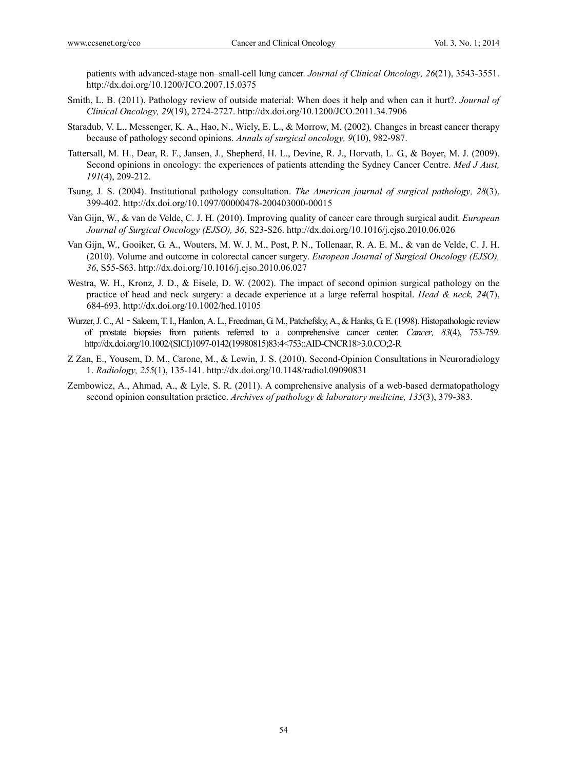patients with advanced-stage non–small-cell lung cancer. *Journal of Clinical Oncology, 26*(21), 3543-3551. http://dx.doi.org/10.1200/JCO.2007.15.0375

- Smith, L. B. (2011). Pathology review of outside material: When does it help and when can it hurt?. *Journal of Clinical Oncology, 29*(19), 2724-2727. http://dx.doi.org/10.1200/JCO.2011.34.7906
- Staradub, V. L., Messenger, K. A., Hao, N., Wiely, E. L., & Morrow, M. (2002). Changes in breast cancer therapy because of pathology second opinions. *Annals of surgical oncology, 9*(10), 982-987.
- Tattersall, M. H., Dear, R. F., Jansen, J., Shepherd, H. L., Devine, R. J., Horvath, L. G., & Boyer, M. J. (2009). Second opinions in oncology: the experiences of patients attending the Sydney Cancer Centre. *Med J Aust, 191*(4), 209-212.
- Tsung, J. S. (2004). Institutional pathology consultation. *The American journal of surgical pathology, 28*(3), 399-402. http://dx.doi.org/10.1097/00000478-200403000-00015
- Van Gijn, W., & van de Velde, C. J. H. (2010). Improving quality of cancer care through surgical audit. *European Journal of Surgical Oncology (EJSO), 36*, S23-S26. http://dx.doi.org/10.1016/j.ejso.2010.06.026
- Van Gijn, W., Gooiker, G. A., Wouters, M. W. J. M., Post, P. N., Tollenaar, R. A. E. M., & van de Velde, C. J. H. (2010). Volume and outcome in colorectal cancer surgery. *European Journal of Surgical Oncology (EJSO), 36*, S55-S63. http://dx.doi.org/10.1016/j.ejso.2010.06.027
- Westra, W. H., Kronz, J. D., & Eisele, D. W. (2002). The impact of second opinion surgical pathology on the practice of head and neck surgery: a decade experience at a large referral hospital. *Head & neck, 24*(7), 684-693. http://dx.doi.org/10.1002/hed.10105
- Wurzer, J. C., Al Saleem, T. I., Hanlon, A. L., Freedman, G. M., Patchefsky, A., & Hanks, G. E. (1998). Histopathologic review of prostate biopsies from patients referred to a comprehensive cancer center. *Cancer, 83*(4), 753-759. http://dx.doi.org/10.1002/(SICI)1097-0142(19980815)83:4<753::AID-CNCR18>3.0.CO;2-R
- Z Zan, E., Yousem, D. M., Carone, M., & Lewin, J. S. (2010). Second-Opinion Consultations in Neuroradiology 1. *Radiology, 255*(1), 135-141. http://dx.doi.org/10.1148/radiol.09090831
- Zembowicz, A., Ahmad, A., & Lyle, S. R. (2011). A comprehensive analysis of a web-based dermatopathology second opinion consultation practice. *Archives of pathology & laboratory medicine, 135*(3), 379-383.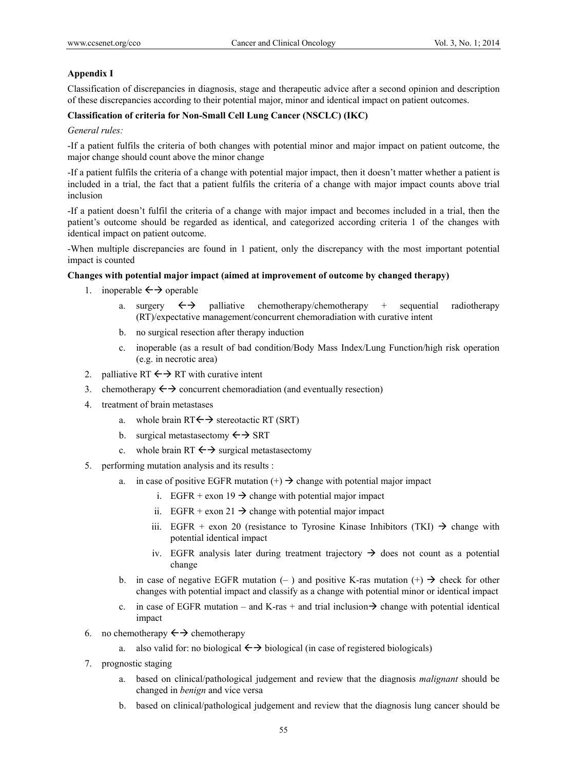# **Appendix I**

Classification of discrepancies in diagnosis, stage and therapeutic advice after a second opinion and description of these discrepancies according to their potential major, minor and identical impact on patient outcomes.

#### **Classification of criteria for Non-Small Cell Lung Cancer (NSCLC) (IKC)**

*General rules:* 

-If a patient fulfils the criteria of both changes with potential minor and major impact on patient outcome, the major change should count above the minor change

-If a patient fulfils the criteria of a change with potential major impact, then it doesn't matter whether a patient is included in a trial, the fact that a patient fulfils the criteria of a change with major impact counts above trial inclusion

-If a patient doesn't fulfil the criteria of a change with major impact and becomes included in a trial, then the patient's outcome should be regarded as identical, and categorized according criteria 1 of the changes with identical impact on patient outcome.

-When multiple discrepancies are found in 1 patient, only the discrepancy with the most important potential impact is counted

# **Changes with potential major impact (aimed at improvement of outcome by changed therapy)**

- 1. inoperable  $\leftrightarrow$  operable
	- a. surgery  $\leftrightarrow$  palliative chemotherapy/chemotherapy + sequential radiotherapy (RT)/expectative management/concurrent chemoradiation with curative intent
	- b. no surgical resection after therapy induction
	- c. inoperable (as a result of bad condition/Body Mass Index/Lung Function/high risk operation (e.g. in necrotic area)
- 2. palliative RT  $\leftarrow \rightarrow$  RT with curative intent
- 3. chemotherapy  $\leftrightarrow$  concurrent chemoradiation (and eventually resection)
- 4. treatment of brain metastases
	- a. whole brain  $RT \leftrightarrow$  stereotactic RT (SRT)
	- b. surgical metastasectomy  $\leftarrow$  SRT
	- c. whole brain RT  $\leftrightarrow$  surgical metastasectomy
- 5. performing mutation analysis and its results :
	- a. in case of positive EGFR mutation  $(+)$   $\rightarrow$  change with potential major impact
		- i. EGFR + exon 19  $\rightarrow$  change with potential major impact
		- ii. EGFR + exon 21  $\rightarrow$  change with potential major impact
		- iii. EGFR + exon 20 (resistance to Tyrosine Kinase Inhibitors (TKI)  $\rightarrow$  change with potential identical impact
		- iv. EGFR analysis later during treatment trajectory  $\rightarrow$  does not count as a potential change
	- b. in case of negative EGFR mutation  $(-)$  and positive K-ras mutation  $(+) \rightarrow$  check for other changes with potential impact and classify as a change with potential minor or identical impact
	- c. in case of EGFR mutation and K-ras + and trial inclusion  $\rightarrow$  change with potential identical impact
- 6. no chemotherapy  $\leftrightarrow$  chemotherapy
	- a. also valid for: no biological  $\leftrightarrow$  biological (in case of registered biologicals)
- 7. prognostic staging
	- a. based on clinical/pathological judgement and review that the diagnosis *malignant* should be changed in *benign* and vice versa
	- b. based on clinical/pathological judgement and review that the diagnosis lung cancer should be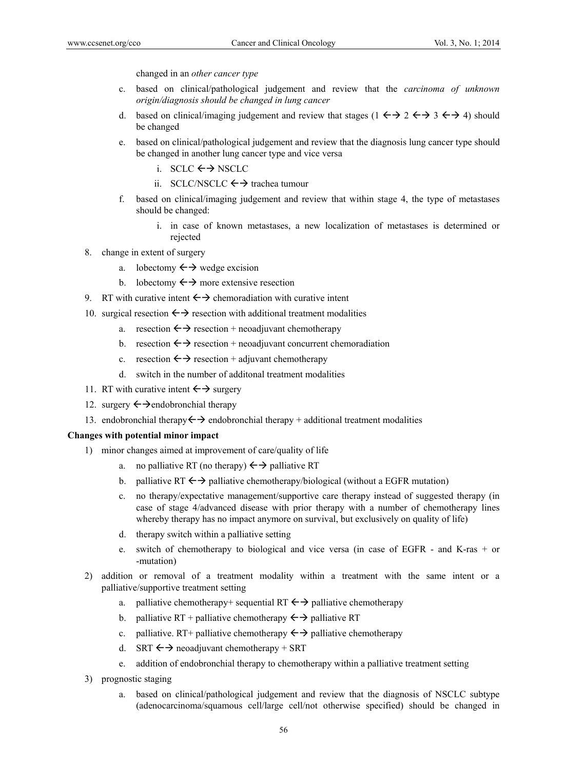changed in an *other cancer type*

- c. based on clinical/pathological judgement and review that the *carcinoma of unknown origin/diagnosis should be changed in lung cancer*
- d. based on clinical/imaging judgement and review that stages  $(1 \leftrightarrow 2 \leftrightarrow 3 \leftrightarrow 4)$  should be changed
- e. based on clinical/pathological judgement and review that the diagnosis lung cancer type should be changed in another lung cancer type and vice versa
	- i.  $SCLC \leftrightarrow NSCLC$
	- ii. SCLC/NSCLC  $\leftrightarrow$  trachea tumour
- f. based on clinical/imaging judgement and review that within stage 4, the type of metastases should be changed:
	- i. in case of known metastases, a new localization of metastases is determined or rejected
- 8. change in extent of surgery
	- a. lobectomy  $\leftrightarrow$  wedge excision
	- b. lobectomy  $\leftarrow \rightarrow$  more extensive resection
- 9. RT with curative intent  $\leftarrow \rightarrow$  chemoradiation with curative intent
- 10. surgical resection  $\leftrightarrow$  resection with additional treatment modalities
	- a. resection  $\leftrightarrow$  resection + neoadjuvant chemotherapy
	- b. resection  $\leftarrow$  resection + neoadjuvant concurrent chemoradiation
	- c. resection  $\leftrightarrow$  resection + adjuvant chemotherapy
	- d. switch in the number of additonal treatment modalities
- 11. RT with curative intent  $\leftarrow \rightarrow$  surgery
- 12. surgery  $\leftrightarrow$  endobronchial therapy
- 13. endobronchial therapy  $\leftrightarrow$  endobronchial therapy + additional treatment modalities

#### **Changes with potential minor impact**

- 1) minor changes aimed at improvement of care/quality of life
	- a. no palliative RT (no therapy)  $\leftrightarrow$  palliative RT
	- b. palliative RT  $\leftrightarrow$  palliative chemotherapy/biological (without a EGFR mutation)
	- c. no therapy/expectative management/supportive care therapy instead of suggested therapy (in case of stage 4/advanced disease with prior therapy with a number of chemotherapy lines whereby therapy has no impact anymore on survival, but exclusively on quality of life)
	- d. therapy switch within a palliative setting
	- e. switch of chemotherapy to biological and vice versa (in case of EGFR and K-ras + or -mutation)
- 2) addition or removal of a treatment modality within a treatment with the same intent or a palliative/supportive treatment setting
	- a. palliative chemotherapy+ sequential RT  $\leftrightarrow$  palliative chemotherapy
	- b. palliative RT + palliative chemotherapy  $\leftrightarrow$  palliative RT
	- c. palliative. RT+ palliative chemotherapy  $\leftrightarrow$  palliative chemotherapy
	- d. SRT  $\leftrightarrow$  neoadjuvant chemotherapy + SRT
	- e. addition of endobronchial therapy to chemotherapy within a palliative treatment setting
- 3) prognostic staging
	- a. based on clinical/pathological judgement and review that the diagnosis of NSCLC subtype (adenocarcinoma/squamous cell/large cell/not otherwise specified) should be changed in